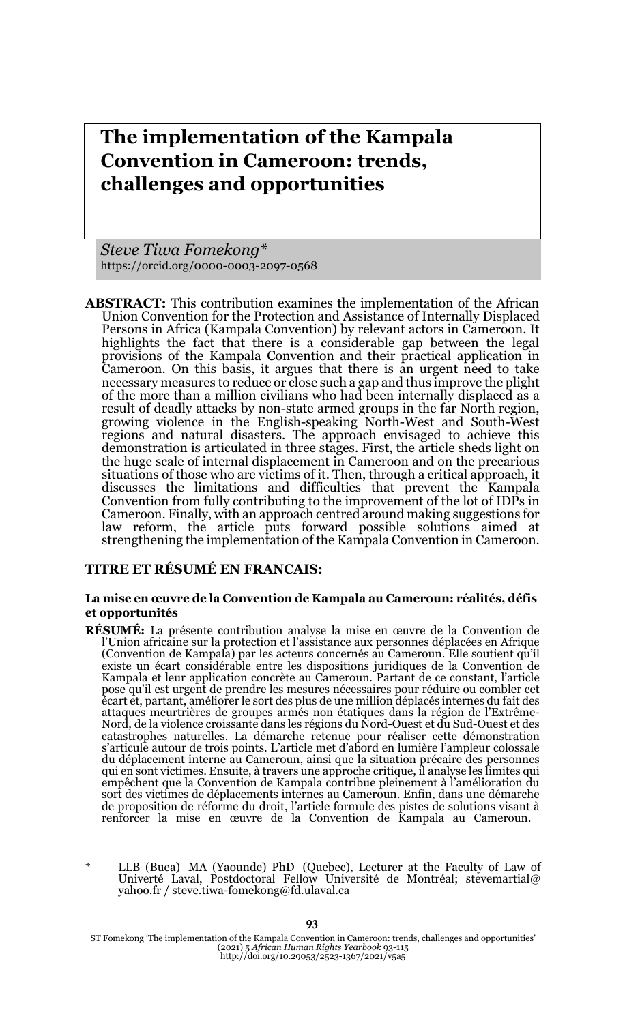# **The implementation of the Kampala Convention in Cameroon: trends, challenges and opportunities**

*Steve Tiwa Fomekong\** https://orcid.org/0000-0003-2097-0568

**ABSTRACT:** This contribution examines the implementation of the African Union Convention for the Protection and Assistance of Internally Displaced Persons in Africa (Kampala Convention) by relevant actors in Cameroon. It highlights the fact that there is a considerable gap between the legal provisions of the Kampala Convention and their practical application in Cameroon. On this basis, it argues that there is an urgent need to take necessary measures to reduce or close such a gap and thus improve the plight of the more than a million civilians who had been internally displaced as a result of deadly attacks by non-state armed groups in the far North region, growing violence in the English-speaking North-West and South-West regions and natural disasters. The approach envisaged to achieve this demonstration is articulated in three stages. First, the article sheds light on the huge scale of internal displacement in Cameroon and on the precarious situations of those who are victims of it. Then, through a critical approach, it discusses the limitations and difficulties that prevent the Kampala Convention from fully contributing to the improvement of the lot of IDPs in Cameroon. Finally, with an approach centred around making suggestions for law reform, the article puts forward possible solutions aimed at strengthening the implementation of the Kampala Convention in Cameroon.

#### **TITRE ET RÉSUMÉ EN FRANCAIS:**

#### **La mise en œuvre de la Convention de Kampala au Cameroun: réalités, défis et opportunités**

- **RÉSUMÉ:** La présente contribution analyse la mise en œuvre de la Convention de l'Union africaine sur la protection et l'assistance aux personnes déplacées en Afrique (Convention de Kampala) par les acteurs concernés au Cameroun. Elle soutient qu'il existe un écart considérable entre les dispositions juridiques de la Convention de Kampala et leur application concrète au Cameroun. Partant de ce constant, l'article pose qu'il est urgent de prendre les mesures nécessaires pour réduire ou combler cet écart et, partant, améliorer le sort des plus de une million déplacés internes du fait des attaques meurtrières de groupes armés non étatiques dans la région de l'Extrême-Nord, de la violence croissante dans les régions du Nord-Ouest et du Sud-Ouest et des<br>catastrophes naturelles. La démarche retenue pour réaliser cette démonstration<br>s'articule autour de trois points. L'article met du déplacement interne au Cameroun, ainsi que la situation précaire des personnes qui en sont victimes. Ensuite, à travers une approche critique, il analyse les limites qui empêchent que la Convention de Kampala contribue pleinement à l'amélioration du sort des victimes de déplacements internes au Cameroun. Enfin, dans une démarche de proposition de réforme du droit, l'article formule des pistes de solutions visant à renforcer la mise en œuvre de la Convention de Kampala au Cameroun.
- \* LLB (Buea) MA (Yaounde) PhD (Quebec), Lecturer at the Faculty of Law of Univerté Laval, Postdoctoral Fellow Université de Montréal; stevemartial@ yahoo.fr / steve.tiwa-fomekong@fd.ulaval.ca

ST Fomekong 'The implementation of the Kampala Convention in Cameroon: trends, challenges and opportunities' (2021) 5 *African Human Rights Yearbook* 93-115 http://doi.org/10.29053/2523-1367/2021/v5a5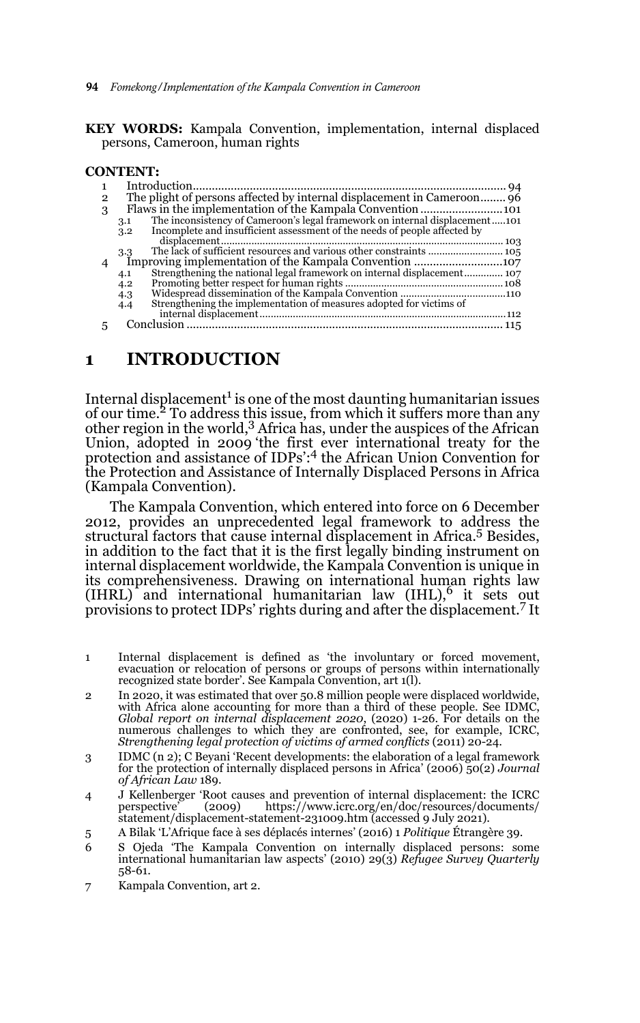**94** *Fomekong/Implementation of the Kampala Convention in Cameroon*

**KEY WORDS:** Kampala Convention, implementation, internal displaced persons, Cameroon, human rights

#### **CONTENT:**

| 2 |                                                                                    |  |
|---|------------------------------------------------------------------------------------|--|
| 3 |                                                                                    |  |
|   | The inconsistency of Cameroon's legal framework on internal displacement101<br>3.1 |  |
|   | Incomplete and insufficient assessment of the needs of people affected by<br>3.2   |  |
|   |                                                                                    |  |
|   | 3.3                                                                                |  |
|   |                                                                                    |  |
|   | 4.1                                                                                |  |
|   | 4.2                                                                                |  |
|   | 4.3                                                                                |  |
|   | Strengthening the implementation of measures adopted for victims of<br>4.4         |  |
|   |                                                                                    |  |
|   |                                                                                    |  |
|   |                                                                                    |  |

#### **1 INTRODUCTION**

Internal displacement $^1$  is one of the most daunting humanitarian issues of our time.<sup>2</sup> To address this issue, from which it suffers more than any other region in the world,<sup>3</sup> Africa has, under the auspices of the African Union, adopted in 2009 'the first ever international treaty for the protection and assistance of IDPs':<sup>4</sup> the African Union Convention for the Protection and Assistance of Internally Displaced Persons in Africa (Kampala Convention).

The Kampala Convention, which entered into force on 6 December 2012, provides an unprecedented legal framework to address the structural factors that cause internal displacement in Africa.<sup>5</sup> Besides, in addition to the fact that it is the first legally binding instrument on internal displacement worldwide, the Kampala Convention is unique in its comprehensiveness. Drawing on international human rights law  $(HRL)^{2}$  and international humanitarian law (IHL),<sup>6</sup> it sets out provisions to protect IDPs' rights during and after the displacement.<sup>7</sup> It

- 1 Internal displacement is defined as 'the involuntary or forced movement, evacuation or relocation of persons or groups of persons within internationally recognized state border'. See Kampala Convention, art 1(l).
- 2 In 2020, it was estimated that over 50.8 million people were displaced worldwide, with Africa alone accounting for more than a third of these people. See IDMC, *Global report on internal displacement 2020*, (2020) 1-26. For details on the numerous challenges to which they are confronted, see, for example, ICRC, *Strengthening legal protection of victims of armed conflicts* (2011) 20-24.
- 3 IDMC (n 2); C Beyani 'Recent developments: the elaboration of a legal framework for the protection of internally displaced persons in Africa' (2006) 50(2) *Journal of African Law* 189.
- 4 J Kellenberger 'Root causes and prevention of internal displacement: the ICRC perspective' (2009) https://www.icrc.org/en/doc/resources/documents/ statement/displacement-statement-231009.htm (accessed 9 July 2021).
- 5 A Bilak 'L'Afrique face à ses déplacés internes' (2016) 1 *Politique* Étrangère 39.
- 6 S Ojeda 'The Kampala Convention on internally displaced persons: some international humanitarian law aspects' (2010) 29(3) *Refugee Survey Quarterly* 58-61.
- 7 Kampala Convention, art 2.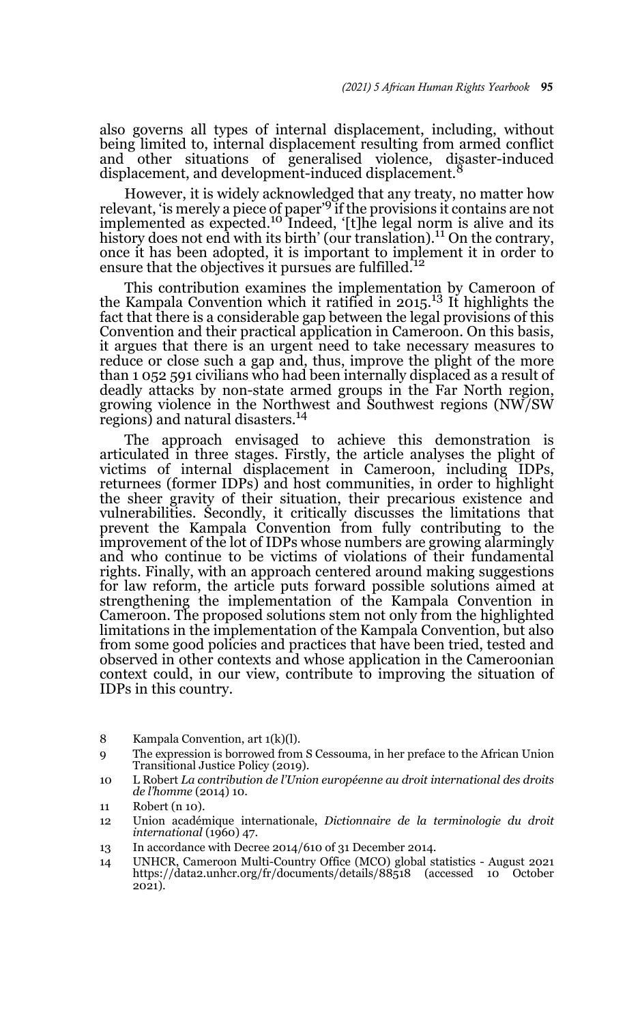also governs all types of internal displacement, including, without being limited to, internal displacement resulting from armed conflict and other situations of generalised violence, disaster-induced displacement, and development-induced displacement.

However, it is widely acknowledged that any treaty, no matter how relevant, 'is merely a piece of paper'<sup>9</sup> if the provisions it contains are not influenced as expected.<sup>10</sup> Indeed, '[t]he legal norm is alive and its implemented as expected.<sup>10</sup> Indeed, '[t]he legal norm is alive and its history does not end with its birth' (our translation).<sup>11</sup> On the contrary, once it has been adopted, it is important to implement it in order to ensure that the objectives it pursues are fulfilled.<sup>12</sup>

This contribution examines the implementation by Cameroon of the Kampala Convention which it ratified in 2015.<sup>13</sup> It highlights the fact that there is a considerable gap between the legal provisions of this Convention and their practical application in Cameroon. On this basis, it argues that there is an urgent need to take necessary measures to reduce or close such a gap and, thus, improve the plight of the more than 1 052 591 civilians who had been internally displaced as a result of deadly attacks by non-state armed groups in the Far North region, growing violence in the Northwest and Southwest regions (NW/SW regions) and natural disasters.<sup>14</sup>

The approach envisaged to achieve this demonstration is articulated in three stages. Firstly, the article analyses the plight of victims of internal displacement in Cameroon, including IDPs, returnees (former IDPs) and host communities, in order to highlight the sheer gravity of their situation, their precarious existence and vulnerabilities. Secondly, it critically discusses the limitations that prevent the Kampala Convention from fully contributing to the improvement of the lot of IDPs whose numbers are growing alarmingly and who continue to be victims of violations of their fundamental rights. Finally, with an approach centered around making suggestions for law reform, the article puts forward possible solutions aimed at strengthening the implementation of the Kampala Convention in Cameroon. The proposed solutions stem not only from the highlighted limitations in the implementation of the Kampala Convention, but also from some good policies and practices that have been tried, tested and observed in other contexts and whose application in the Cameroonian context could, in our view, contribute to improving the situation of IDPs in this country.

- 9 The expression is borrowed from S Cessouma, in her preface to the African Union Transitional Justice Policy (2019).
- 10 L Robert *La contribution de l'Union européenne au droit international des droits de l'homme* (2014) 10.
- 11 Robert (n 10).
- 12 Union académique internationale, *Dictionnaire de la terminologie du droit international* (1960) 47.
- 13 In accordance with Decree 2014/610 of 31 December 2014.
- 14 UNHCR, Cameroon Multi-Country Office (MCO) global statistics August 2021 https://data2.unhcr.org/fr/documents/details/88518 (accessed 10 October 2021).

<sup>8</sup> Kampala Convention, art 1(k)(l).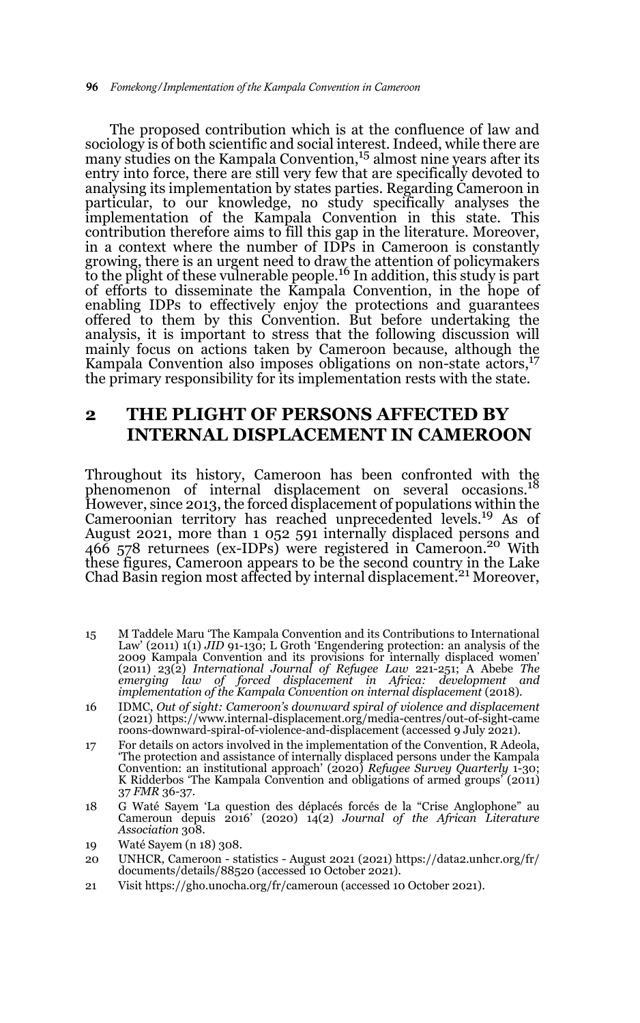The proposed contribution which is at the confluence of law and sociology is of both scientific and social interest. Indeed, while there are many studies on the Kampala Convention,<sup>15</sup> almost nine years after its entry into force, there are still very few that are specifically devoted to analysing its implementation by states parties. Regarding Cameroon in particular, to our knowledge, no study specifically analyses the implementation of the Kampala Convention in this state. This contribution therefore aims to fill this gap in the literature. Moreover, in a context where the number of IDPs in Cameroon is constantly growing, there is an urgent need to draw the attention of policymakers to the plight of these vulnerable people.16 In addition, this study is part of efforts to disseminate the Kampala Convention, in the hope of enabling IDPs to effectively enjoy the protections and guarantees offered to them by this Convention. But before undertaking the analysis, it is important to stress that the following discussion will mainly focus on actions taken by Cameroon because, although the Kampala Convention also imposes obligations on non-state actors,  $17$ the primary responsibility for its implementation rests with the state.

# **2 THE PLIGHT OF PERSONS AFFECTED BY INTERNAL DISPLACEMENT IN CAMEROON**

Throughout its history, Cameroon has been confronted with the phenomenon of internal displacement on several occasions.<sup>18</sup> However, since 2013, the forced displacement of populations within the Cameroonian territory has reached unprecedented levels.19 As of August 2021, more than 1 052 591 internally displaced persons and 466 578 returnees (ex-IDPs) were registered in Cameroon.<sup>20</sup> With these figures, Cameroon appears to be the second country in the Lake Chad Basin region most affected by internal displacement.<sup>21</sup> Moreover,

- 15 M Taddele Maru 'The Kampala Convention and its Contributions to International Law' (2011) 1(1) *JID* 91-130; L Groth 'Engendering protection: an analysis of the 2009 Kampala Convention and its provisions for internally displaced women'<br>(2011) 23(2) International Journal of Refugee Law 221-251; A Abebe The<br>emerging law of forced displacement in Africa: development and *implementation of the Kampala Convention on internal displacement* (2018).
- 16 IDMC, *Out of sight: Cameroon's downward spiral of violence and displacement* (2021) https://www.internal-displacement.org/media-centres/out-of-sight-came roons-downward-spiral-of-violence-and-displacement (accessed 9 July 2021).
- 17 For details on actors involved in the implementation of the Convention, R Adeola, 'The protection and assistance of internally displaced persons under the Kampala Convention: an institutional approach' (2020) *Refugee Survey Quarterly* 1-30; K Ridderbos 'The Kampala Convention and obligations of armed groups' (2011) 37 *FMR* 36-37.
- 18 G Waté Sayem 'La question des déplacés forcés de la "Crise Anglophone" au Cameroun depuis 2016' (2020) 14(2) *Journal of the African Literature Association* 308.
- 19 Waté Sayem (n 18) 308.
- 20 UNHCR, Cameroon statistics August 2021 (2021) https://data2.unhcr.org/fr/ documents/details/88520 (accessed 10 October 2021).
- 21 Visit https://gho.unocha.org/fr/cameroun (accessed 10 October 2021).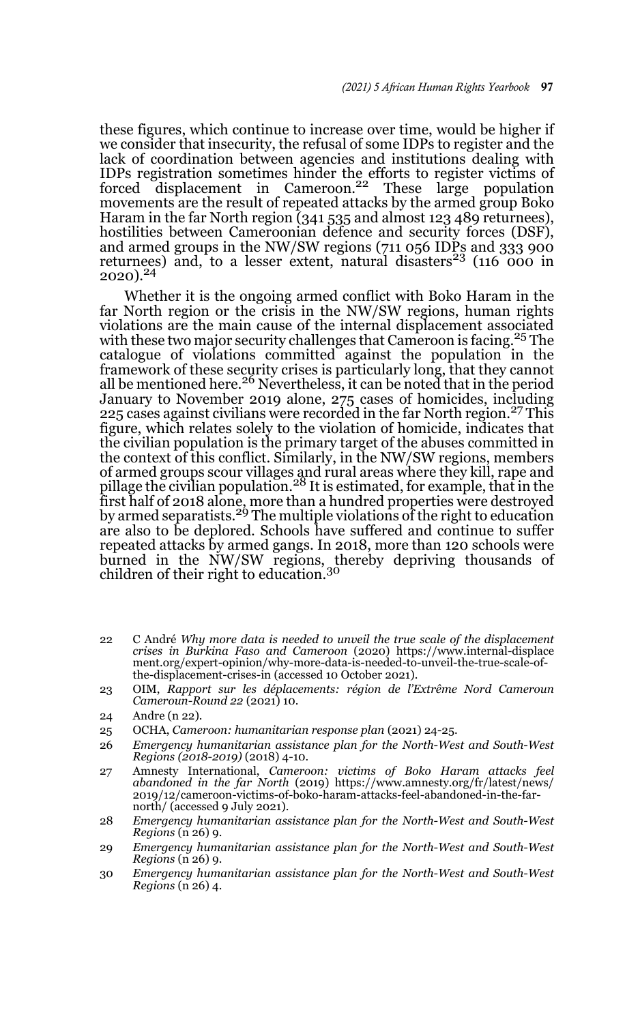these figures, which continue to increase over time, would be higher if we consider that insecurity, the refusal of some IDPs to register and the lack of coordination between agencies and institutions dealing with IDPs registration sometimes hinder the efforts to register victims of forced displacement in Cameroon.<sup>22</sup> These large population movements are the result of repeated attacks by the armed group Boko Haram in the far North region (341 535 and almost 123 489 returnees), hostilities between Cameroonian defence and security forces (DSF), and armed groups in the NW/SW regions (711 056 IDPs and 333 900 returnees) and, to a lesser extent, natural disasters<sup>23</sup> (116 000 in  $2020$ ).<sup>24</sup>

Whether it is the ongoing armed conflict with Boko Haram in the far North region or the crisis in the NW/SW regions, human rights violations are the main cause of the internal displacement associated with these two major security challenges that Cameroon is facing.<sup>25</sup> The catalogue of violations committed against the population in the framework of these security crises is particularly long, that they cannot all be mentioned here.<sup>26</sup> Nevertheless, it can be noted that in the period January to November 2019 alone, 275 cases of homicides, including 225 cases against civilians were recorded in the far North region.<sup>27</sup> This figure, which relates solely to the violation of homicide, indicates that the civilian population is the primary target of the abuses committed in the context of this conflict. Similarly, in the NW/SW regions, members of armed groups scour villages and rural areas where they kill, rape and<br>pillage the civilian population.<sup>28</sup> It is estimated, for example, that in the first half of 2018 alone, more than a hundred properties were destroyed by armed separatists.29 The multiple violations of the right to education are also to be deplored. Schools have suffered and continue to suffer repeated attacks by armed gangs. In 2018, more than 120 schools were burned in the NW/SW regions, thereby depriving thousands of children of their right to education.<sup>30</sup>

- 22 C André *Why more data is needed to unveil the true scale of the displacement crises in Burkina Faso and Cameroon* (2020) https://www.internal-displace ment.org/expert-opinion/why-more-data-is-needed-to-unveil-the-true-scale-ofthe-displacement-crises-in (accessed 10 October 2021).
- 23 OIM, *Rapport sur les déplacements: région de l'Extrême Nord Cameroun Cameroun-Round 22* (2021) 10.

- 25 OCHA, *Cameroon: humanitarian response plan* (2021) 24-25.
- 26 *Emergency humanitarian assistance plan for the North-West and South-West Regions (2018-2019)* (2018) 4-10.
- 27 Amnesty International, *Cameroon: victims of Boko Haram attacks feel abandoned in the far North* (2019) https://www.amnesty.org/fr/latest/news/ 2019/12/cameroon-victims-of-boko-haram-attacks-feel-abandoned-in-the-farnorth/ (accessed 9 July 2021).
- 28 *Emergency humanitarian assistance plan for the North-West and South-West Regions* (n 26) 9.
- 29 *Emergency humanitarian assistance plan for the North-West and South-West Regions* (n 26) 9.
- 30 *Emergency humanitarian assistance plan for the North-West and South-West Regions* (n 26) 4.

<sup>24</sup> Andre (n 22).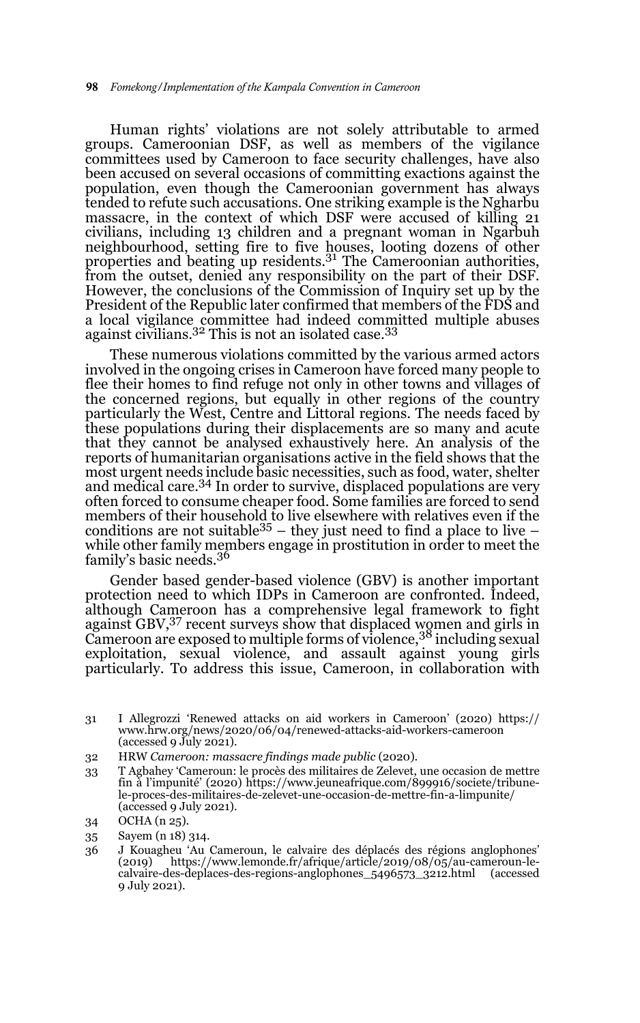Human rights' violations are not solely attributable to armed groups. Cameroonian DSF, as well as members of the vigilance committees used by Cameroon to face security challenges, have also been accused on several occasions of committing exactions against the population, even though the Cameroonian government has always tended to refute such accusations. One striking example is the Ngharbu massacre, in the context of which DSF were accused of killing 21 civilians, including 13 children and a pregnant woman in Ngarbuh neighbourhood, setting fire to five houses, looting dozens of other properties and beating up residents.31 The Cameroonian authorities, from the outset, denied any responsibility on the part of their DSF. However, the conclusions of the Commission of Inquiry set up by the President of the Republic later confirmed that members of the FDS and a local vigilance committee had indeed committed multiple abuses a focal vignance committee had maded commissional against civilians.<sup>32</sup> This is not an isolated case.<sup>33</sup>

These numerous violations committed by the various armed actors involved in the ongoing crises in Cameroon have forced many people to flee their homes to find refuge not only in other towns and villages of the concerned regions, but equally in other regions of the country particularly the West, Centre and Littoral regions. The needs faced by these populations during their displacements are so many and acute that they cannot be analysed exhaustively here. An analysis of the reports of humanitarian organisations active in the field shows that the most urgent needs include basic necessities, such as food, water, shelter and medical care.<sup>34</sup> In order to survive, displaced populations are very often forced to consume cheaper food. Some families are forced to send members of their household to live elsewhere with relatives even if the conditions are not suitable  $35$  – they just need to find a place to live – while other family members engage in prostitution in order to meet the family's basic needs.<sup>36</sup>

Gender based gender-based violence (GBV) is another important protection need to which IDPs in Cameroon are confronted. Indeed, although Cameroon has a comprehensive legal framework to fight against GBV, <sup>37</sup> recent surveys show that displaced women and girls in Cameroon are exposed to multiple forms of violence,38 including sexual exploitation, sexual violence, and assault against young girls particularly. To address this issue, Cameroon, in collaboration with

33 T Agbahey 'Cameroun: le procès des militaires de Zelevet, une occasion de mettre fin à l'impunité' (2020) https://www.jeuneafrique.com/899916/societe/tribunele-proces-des-militaires-de-zelevet-une-occasion-de-mettre-fin-a-limpunite/ (accessed 9 July 2021).

35 Sayem (n 18) 314.

<sup>31</sup> I Allegrozzi 'Renewed attacks on aid workers in Cameroon' (2020) https:// www.hrw.org/news/2020/06/04/renewed-attacks-aid-workers-cameroon (accessed 9 July 2021).

<sup>32</sup> HRW *Cameroon: massacre findings made public* (2020).

<sup>34</sup> OCHA (n 25).

<sup>36</sup> J Kouagheu 'Au Cameroun, le calvaire des déplacés des régions anglophones' (2019) https://www.lemonde.fr/afrique/article/2019/08/05/au-cameroun-lecalvaire-des-deplaces-des-regions-anglophones\_5496573\_3212.html (accessed 9 July 2021).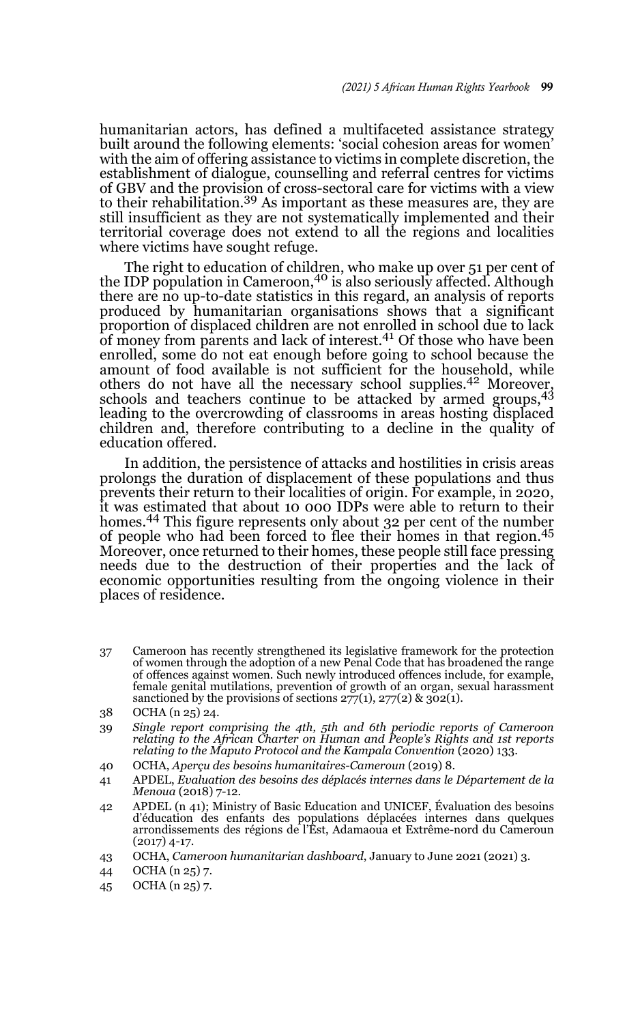humanitarian actors, has defined a multifaceted assistance strategy built around the following elements: 'social cohesion areas for women' with the aim of offering assistance to victims in complete discretion, the establishment of dialogue, counselling and referral centres for victims of GBV and the provision of cross-sectoral care for victims with a view<br>to their rehabilitation.<sup>39</sup> As important as these measures are, they are still insufficient as they are not systematically implemented and their territorial coverage does not extend to all the regions and localities where victims have sought refuge.

The right to education of children, who make up over 51 per cent of the IDP population in Cameroon,<sup>40</sup> is also seriously affected. Although there are no up-to-date statistics in this regard, an analysis of reports produced by humanitarian organisations shows that a significant proportion of displaced children are not enrolled in school due to lack of money from parents and lack of interest.41 Of those who have been enrolled, some do not eat enough before going to school because the amount of food available is not sufficient for the household, while others do not have all the necessary school supplies.42 Moreover, schools and teachers continue to be attacked by armed groups,<sup>43</sup> leading to the overcrowding of classrooms in areas hosting displaced children and, therefore contributing to a decline in the quality of education offered.

In addition, the persistence of attacks and hostilities in crisis areas prolongs the duration of displacement of these populations and thus prevents their return to their localities of origin. For example, in 2020, it was estimated that about 10 000 IDPs were able to return to their homes.<sup>44</sup> This figure represents only about 32 per cent of the number of people who had been forced to flee their homes in that region.<sup>45</sup> Moreover, once returned to their homes, these people still face pressing needs due to the destruction of their properties and the lack of economic opportunities resulting from the ongoing violence in their places of residence.

37 Cameroon has recently strengthened its legislative framework for the protection of women through the adoption of a new Penal Code that has broadened the range of offences against women. Such newly introduced offences include, for example, female genital mutilations, prevention of growth of an organ, sexual harassment sanctioned by the provisions of sections  $277(1)$ ,  $277(2)$  &  $302(1)$ .

- 39 *Single report comprising the 4th, 5th and 6th periodic reports of Cameroon relating to the African Charter on Human and People's Rights and 1st reports relating to the Maputo Protocol and the Kampala Convention* (2020) 133.
- 40 OCHA, *Aperçu des besoins humanitaires-Cameroun* (2019) 8.
- 41 APDEL, *Evaluation des besoins des déplacés internes dans le Département de la Menoua* (2018) 7-12.
- 42 APDEL (n 41); Ministry of Basic Education and UNICEF, Évaluation des besoins d'éducation des enfants des populations déplacées internes dans quelques arrondissements des régions de l'Est, Adamaoua et Extrême-nord du Cameroun (2017) 4-17.
- 43 OCHA, *Cameroon humanitarian dashboard*, January to June 2021 (2021) 3.
- 44 OCHA (n 25) 7.
- 45 OCHA (n 25) 7.

<sup>38</sup> OCHA (n 25) 24.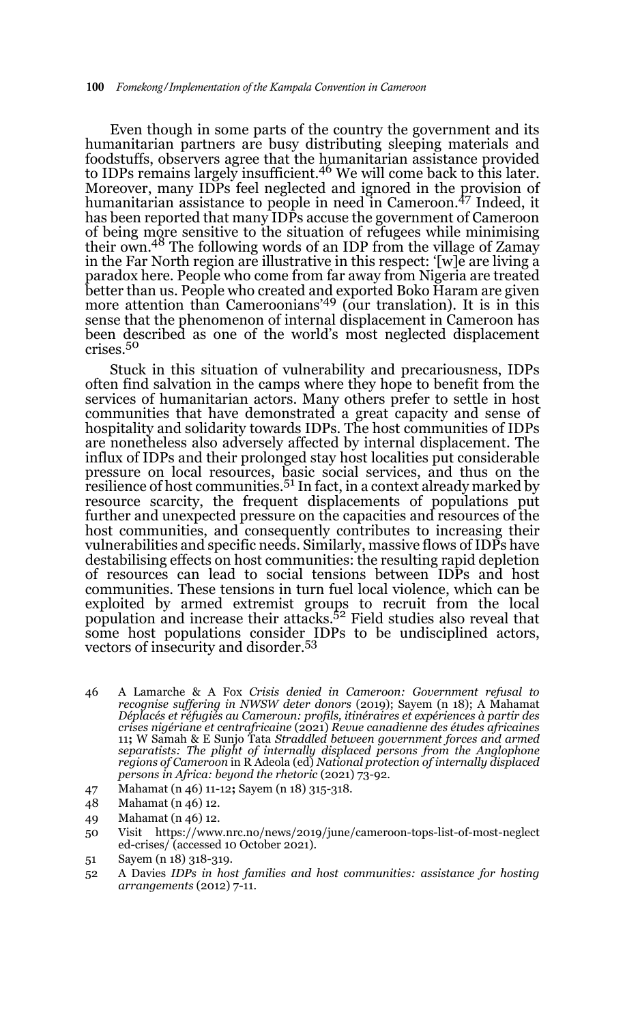Even though in some parts of the country the government and its humanitarian partners are busy distributing sleeping materials and foodstuffs, observers agree that the humanitarian assistance provided to IDPs remains largely insufficient.46 We will come back to this later. Moreover, many IDPs feel neglected and ignored in the provision of humanitarian assistance to people in need in Cameroon.<sup>47</sup> Indeed, it has been reported that many IDPs accuse the government of Cameroon of being more sensitive to the situation of refugees while minimising their own.48 The following words of an IDP from the village of Zamay in the Far North region are illustrative in this respect: '[w]e are living a paradox here. People who come from far away from Nigeria are treated better than us. People who created and exported Boko Haram are given more attention than Cameroonians'<sup>49</sup> (our translation). It is in this sense that the phenomenon of internal displacement in Cameroon has been described as one of the world's most neglected displacement crises.<sup>50</sup>

Stuck in this situation of vulnerability and precariousness, IDPs often find salvation in the camps where they hope to benefit from the services of humanitarian actors. Many others prefer to settle in host communities that have demonstrated a great capacity and sense of hospitality and solidarity towards IDPs. The host communities of IDPs are nonetheless also adversely affected by internal displacement. The influx of IDPs and their prolonged stay host localities put considerable pressure on local resources, basic social services, and thus on the resilience of host communities.<sup>51</sup> In fact, in a context already marked by resource scarcity, the frequent displacements of populations put further and unexpected pressure on the capacities and resources of the host communities, and consequently contributes to increasing their vulnerabilities and specific needs. Similarly, massive flows of IDPs have destabilising effects on host communities: the resulting rapid depletion of resources can lead to social tensions between IDPs and host communities. These tensions in turn fuel local violence, which can be exploited by armed extremist groups to recruit from the local population and increase their attacks.<sup>52</sup> Field studies also reveal that some host populations consider IDPs to be undisciplined actors, vectors of insecurity and disorder.53

- 46 A Lamarche & A Fox *Crisis denied in Cameroon: Government refusal to recognise suffering in NWSW deter donors* (2019); Sayem (n 18); A Mahamat *Déplacés et réfugiés au Cameroun: profils, itinéraires et expériences à partir des crises nigériane et centrafricaine* (2021) *Revue canadienne des études africaines* <sup>11</sup>**;** W Samah & E Sunjo Tata *Straddled between government forces and armed separatists: The plight of internally displaced persons from the Anglophone regions of Cameroon* in R Adeola (ed) *National protection of internally displaced persons in Africa: beyond the rhetoric* (2021) 73-92.
- 47 Mahamat (n 46) 11-12**;** Sayem (n 18) 315-318.
- 48 Mahamat (n 46) 12.
- 49 Mahamat (n 46) 12.
- 50 Visit https://www.nrc.no/news/2019/june/cameroon-tops-list-of-most-neglect ed-crises/ (accessed 10 October 2021).
- 51 Sayem (n 18) 318-319.
- 52 A Davies *IDPs in host families and host communities: assistance for hosting arrangements* (2012) 7-11.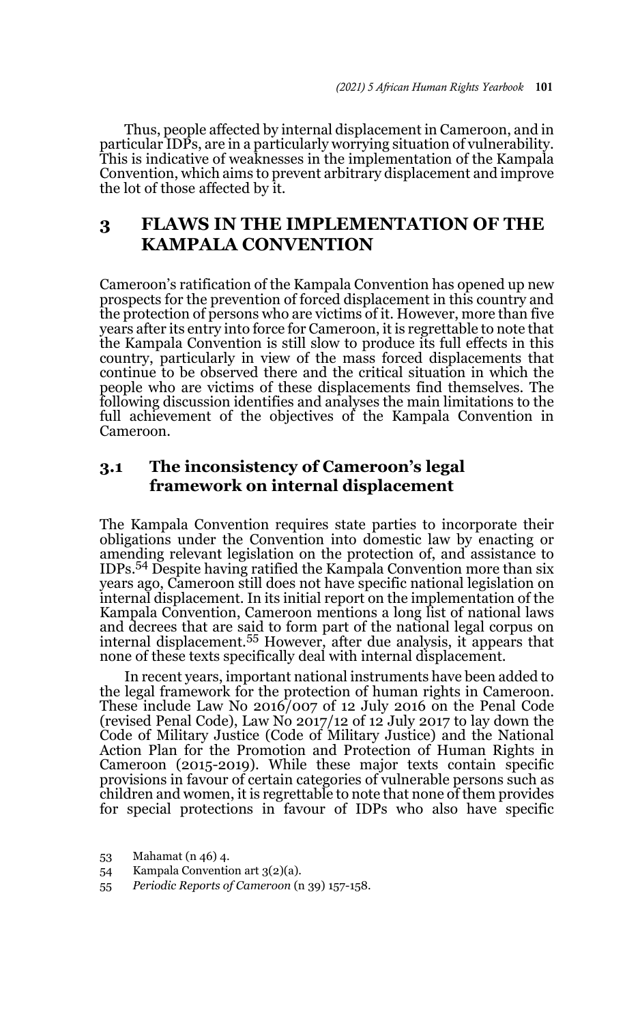Thus, people affected by internal displacement in Cameroon, and in particular IDPs, are in a particularly worrying situation of vulnerability. This is indicative of weaknesses in the implementation of the Kampala Convention, which aims to prevent arbitrary displacement and improve the lot of those affected by it.

# **3 FLAWS IN THE IMPLEMENTATION OF THE KAMPALA CONVENTION**

Cameroon's ratification of the Kampala Convention has opened up new prospects for the prevention of forced displacement in this country and the protection of persons who are victims of it. However, more than five years after its entry into force for Cameroon, it is regrettable to note that the Kampala Convention is still slow to produce its full effects in this country, particularly in view of the mass forced displacements that continue to be observed there and the critical situation in which the people who are victims of these displacements find themselves. The following discussion identifies and analyses the main limitations to the full achievement of the objectives of the Kampala Convention in Cameroon.

### **3.1 The inconsistency of Cameroon's legal framework on internal displacement**

The Kampala Convention requires state parties to incorporate their obligations under the Convention into domestic law by enacting or amending relevant legislation on the protection of, and assistance to IDPs.54 Despite having ratified the Kampala Convention more than six years ago, Cameroon still does not have specific national legislation on internal displacement. In its initial report on the implementation of the Kampala Convention, Cameroon mentions a long list of national laws and decrees that are said to form part of the national legal corpus on internal displacement.55 However, after due analysis, it appears that none of these texts specifically deal with internal displacement.

In recent years, important national instruments have been added to the legal framework for the protection of human rights in Cameroon. These include Law No 2016/007 of 12 July 2016 on the Penal Code (revised Penal Code), Law No 2017/12 of 12 July 2017 to lay down the Code of Military Justice (Code of Military Justice) and the National Action Plan for the Promotion and Protection of Human Rights in Cameroon (2015-2019). While these major texts contain specific provisions in favour of certain categories of vulnerable persons such as children and women, it is regrettable to note that none of them provides for special protections in favour of IDPs who also have specific

<sup>53</sup> Mahamat (n 46) 4.

<sup>54</sup> Kampala Convention art 3(2)(a).

<sup>55</sup> *Periodic Reports of Cameroon* (n 39) 157-158.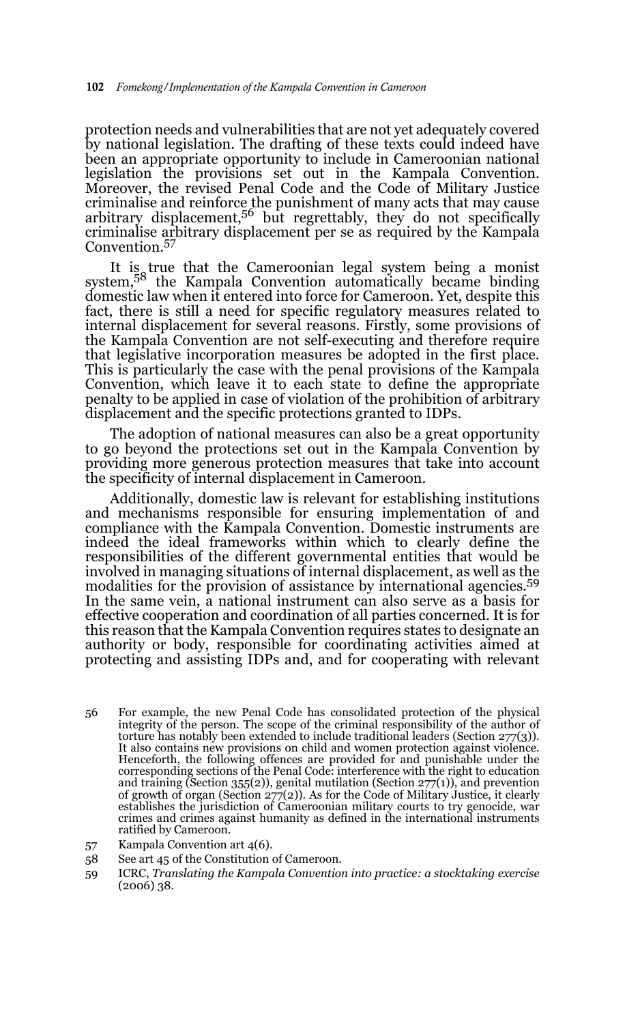protection needs and vulnerabilities that are not yet adequately covered by national legislation. The drafting of these texts could indeed have been an appropriate opportunity to include in Cameroonian national legislation the provisions set out in the Kampala Convention. Moreover, the revised Penal Code and the Code of Military Justice criminalise and reinforce the punishment of many acts that may cause arbitrary displacement, $5<sup>6</sup>$  but regrettably, they do not specifically criminalise arbitrary displacement per se as required by the Kampala Convention.57

It is true that the Cameroonian legal system being a monist system,58 the Kampala Convention automatically became binding domestic law when it entered into force for Cameroon. Yet, despite this fact, there is still a need for specific regulatory measures related to internal displacement for several reasons. Firstly, some provisions of the Kampala Convention are not self-executing and therefore require that legislative incorporation measures be adopted in the first place. This is particularly the case with the penal provisions of the Kampala Convention, which leave it to each state to define the appropriate penalty to be applied in case of violation of the prohibition of arbitrary displacement and the specific protections granted to IDPs.

The adoption of national measures can also be a great opportunity to go beyond the protections set out in the Kampala Convention by providing more generous protection measures that take into account the specificity of internal displacement in Cameroon.

Additionally, domestic law is relevant for establishing institutions and mechanisms responsible for ensuring implementation of and compliance with the Kampala Convention. Domestic instruments are indeed the ideal frameworks within which to clearly define the responsibilities of the different governmental entities that would be involved in managing situations of internal displacement, as well as the modalities for the provision of assistance by international agencies.59 In the same vein, a national instrument can also serve as a basis for effective cooperation and coordination of all parties concerned. It is for this reason that the Kampala Convention requires states to designate an authority or body, responsible for coordinating activities aimed at protecting and assisting IDPs and, and for cooperating with relevant

- 56 For example, the new Penal Code has consolidated protection of the physical integrity of the person. The scope of the criminal responsibility of the author of torture has notably been extended to include traditional leaders (Section 277(3)). It also contains new provisions on child and women protection against violence. Henceforth, the following offences are provided for and punishable under the corresponding sections of the Penal Code: interference with the right to education and training (Section 355(2)), genital mutilation (Section  $27(1)$ ), and prevention of growth of organ (Section 277(2)). As for the Code of Military Justice, it clearly establishes the jurisdiction of Cameroonian military courts to try genocide, war crimes and crimes against humanity as defined in the international instruments ratified by Cameroon.
- 57 Kampala Convention art 4(6).
- 58 See art 45 of the Constitution of Cameroon.
- 59 ICRC, *Translating the Kampala Convention into practice: a stocktaking exercise* (2006) 38.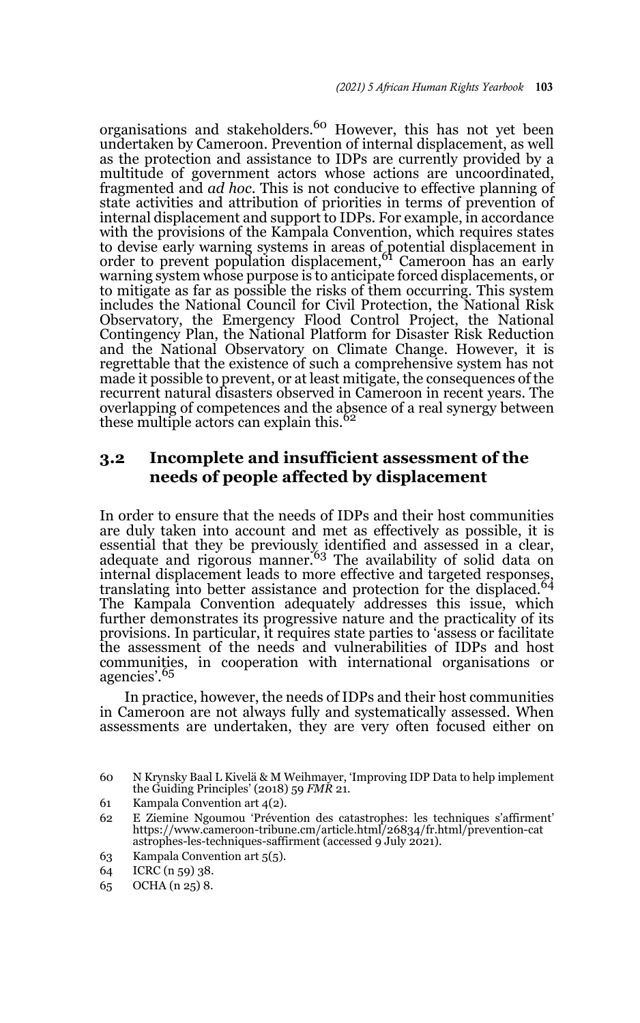organisations and stakeholders.<sup>60</sup> However, this has not yet been undertaken by Cameroon. Prevention of internal displacement, as well as the protection and assistance to IDPs are currently provided by a multitude of government actors whose actions are uncoordinated, fragmented and *ad hoc*. This is not conducive to effective planning of state activities and attribution of priorities in terms of prevention of internal displacement and support to IDPs. For example, in accordance with the provisions of the Kampala Convention, which requires states to devise early warning systems in areas of potential displacement in<br>order to prevent population displacement,<sup>61</sup> Cameroon has an early warning system whose purpose is to anticipate forced displacements, or to mitigate as far as possible the risks of them occurring. This system includes the National Council for Civil Protection, the National Risk Observatory, the Emergency Flood Control Project, the National Contingency Plan, the National Platform for Disaster Risk Reduction and the National Observatory on Climate Change. However, it is regrettable that the existence of such a comprehensive system has not made it possible to prevent, or at least mitigate, the consequences of the recurrent natural disasters observed in Cameroon in recent years. The overlapping of competences and the absence of a real synergy between these multiple actors can explain this.<sup>62</sup>

# **3.2 Incomplete and insufficient assessment of the needs of people affected by displacement**

In order to ensure that the needs of IDPs and their host communities are duly taken into account and met as effectively as possible, it is essential that they be previously identified and assessed in a clear,<br>adequate and rigorous manner.<sup>63</sup> The availability of solid data on internal displacement leads to more effective and targeted responses, translating into better assistance and protection for the displaced.<sup>64</sup> The Kampala Convention adequately addresses this issue, which further demonstrates its progressive nature and the practicality of its provisions. In particular, it requires state parties to 'assess or facilitate the assessment of the needs and vulnerabilities of IDPs and host communities, in cooperation with international organisations or agencies'.<sup>65</sup>

In practice, however, the needs of IDPs and their host communities in Cameroon are not always fully and systematically assessed. When assessments are undertaken, they are very often focused either on

63 Kampala Convention art 5(5).

<sup>60</sup> N Krynsky Baal L Kivelä & M Weihmayer, 'Improving IDP Data to help implement the Guiding Principles' (2018) 59 *FMR* 21.

<sup>61</sup> Kampala Convention art 4(2).

<sup>62</sup> E Ziemine Ngoumou 'Prévention des catastrophes: les techniques s'affirment' https://www.cameroon-tribune.cm/article.html/26834/fr.html/prevention-cat astrophes-les-techniques-saffirment (accessed 9 July 2021).

<sup>64</sup> ICRC (n 59) 38.

<sup>65</sup> OCHA (n 25) 8.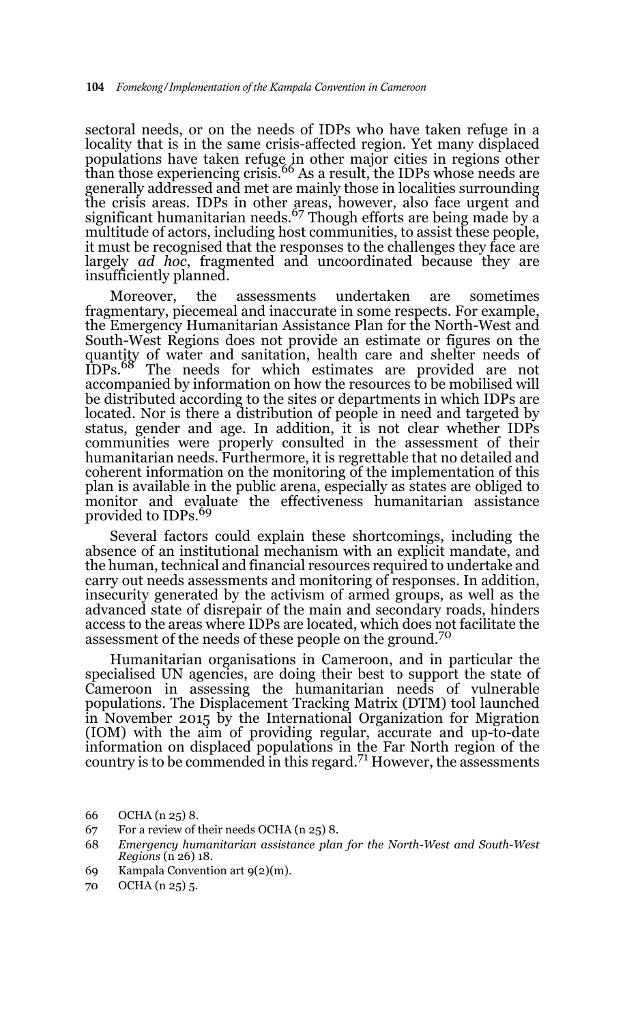sectoral needs, or on the needs of IDPs who have taken refuge in a locality that is in the same crisis-affected region. Yet many displaced populations have taken refuge in other major cities in regions other<br>than those experiencing crisis.<sup>66</sup> As a result, the IDPs whose needs are generally addressed and met are mainly those in localities surrounding the crisis areas. IDPs in other areas, however, also face urgent and<br>significant humanitarian needs.<sup>67</sup> Though efforts are being made by a multitude of actors, including host communities, to assist these people, it must be recognised that the responses to the challenges they face are largely *ad hoc*, fragmented and uncoordinated because they are insufficiently planned.

Moreover, the assessments undertaken are sometimes fragmentary, piecemeal and inaccurate in some respects. For example, the Emergency Humanitarian Assistance Plan for the North-West and South-West Regions does not provide an estimate or figures on the quantity of water and sanitation, health care and shelter needs of IDPs.68 The needs for which estimates are provided are not accompanied by information on how the resources to be mobilised will be distributed according to the sites or departments in which IDPs are located. Nor is there a distribution of people in need and targeted by status, gender and age. In addition, it is not clear whether IDPs communities were properly consulted in the assessment of their humanitarian needs. Furthermore, it is regrettable that no detailed and coherent information on the monitoring of the implementation of this plan is available in the public arena, especially as states are obliged to monitor and evaluate the effectiveness humanitarian assistance provided to IDPs.<sup>69</sup>

Several factors could explain these shortcomings, including the absence of an institutional mechanism with an explicit mandate, and the human, technical and financial resources required to undertake and carry out needs assessments and monitoring of responses. In addition, insecurity generated by the activism of armed groups, as well as the advanced state of disrepair of the main and secondary roads, hinders access to the areas where IDPs are located, which does not facilitate the assessment of the needs of these people on the ground.<sup>70</sup>

Humanitarian organisations in Cameroon, and in particular the specialised UN agencies, are doing their best to support the state of Cameroon in assessing the humanitarian needs of vulnerable populations. The Displacement Tracking Matrix (DTM) tool launched in November 2015 by the International Organization for Migration (IOM) with the aim of providing regular, accurate and up-to-date information on displaced populations in the Far North region of the country is to be commended in this regard.<sup>71</sup> However, the assessments

- 69 Kampala Convention art 9(2)(m).
- 70 OCHA (n 25) 5.

<sup>66</sup> OCHA (n 25) 8.

<sup>67</sup> For a review of their needs OCHA (n 25) 8.

<sup>68</sup> *Emergency humanitarian assistance plan for the North-West and South-West Regions* (n 26) 18.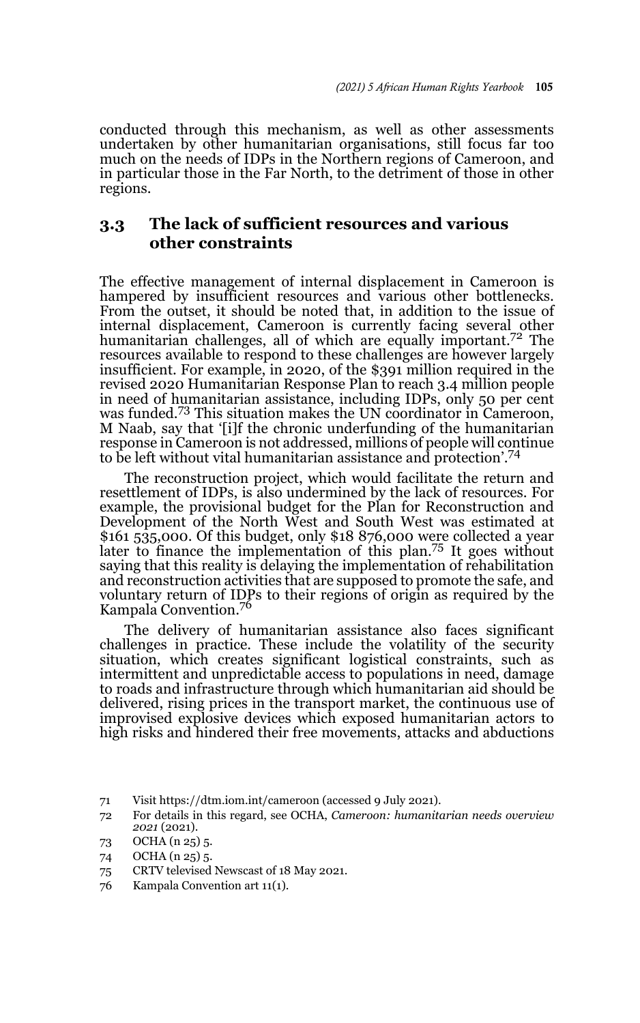conducted through this mechanism, as well as other assessments undertaken by other humanitarian organisations, still focus far too much on the needs of IDPs in the Northern regions of Cameroon, and in particular those in the Far North, to the detriment of those in other regions.

#### **3.3 The lack of sufficient resources and various other constraints**

The effective management of internal displacement in Cameroon is hampered by insufficient resources and various other bottlenecks. From the outset, it should be noted that, in addition to the issue of internal displacement, Cameroon is currently facing several other humanitarian challenges, all of which are equally important.<sup>72</sup> The resources available to respond to these challenges are however largely insufficient. For example, in 2020, of the \$391 million required in the revised 2020 Humanitarian Response Plan to reach 3.4 million people in need of humanitarian assistance, including IDPs, only 50 per cent was funded.<sup>73</sup> This situation makes the UN coordinator in Cameroon, M Naab, say that '[i]f the chronic underfunding of the humanitarian response in Cameroon is not addressed, millions of people will continue to be left without vital humanitarian assistance and protection'.<sup>74</sup>

The reconstruction project, which would facilitate the return and resettlement of IDPs, is also undermined by the lack of resources. For example, the provisional budget for the Plan for Reconstruction and Development of the North West and South West was estimated at \$161 535,000. Of this budget, only \$18 876,000 were collected a year later to finance the implementation of this plan.<sup>75</sup> It goes without saying that this reality is delaying the implementation of rehabilitation and reconstruction activities that are supposed to promote the safe, and voluntary return of IDPs to their regions of origin as required by the Kampala Convention.76

The delivery of humanitarian assistance also faces significant challenges in practice. These include the volatility of the security situation, which creates significant logistical constraints, such as intermittent and unpredictable access to populations in need, damage to roads and infrastructure through which humanitarian aid should be delivered, rising prices in the transport market, the continuous use of improvised explosive devices which exposed humanitarian actors to high risks and hindered their free movements, attacks and abductions

<sup>71</sup> Visit https://dtm.iom.int/cameroon (accessed 9 July 2021).

<sup>72</sup> For details in this regard, see OCHA, *Cameroon: humanitarian needs overview 2021* (2021).

<sup>73</sup> OCHA (n 25) 5.

<sup>74</sup> OCHA (n 25) 5.

<sup>75</sup> CRTV televised Newscast of 18 May 2021.

<sup>76</sup> Kampala Convention art 11(1).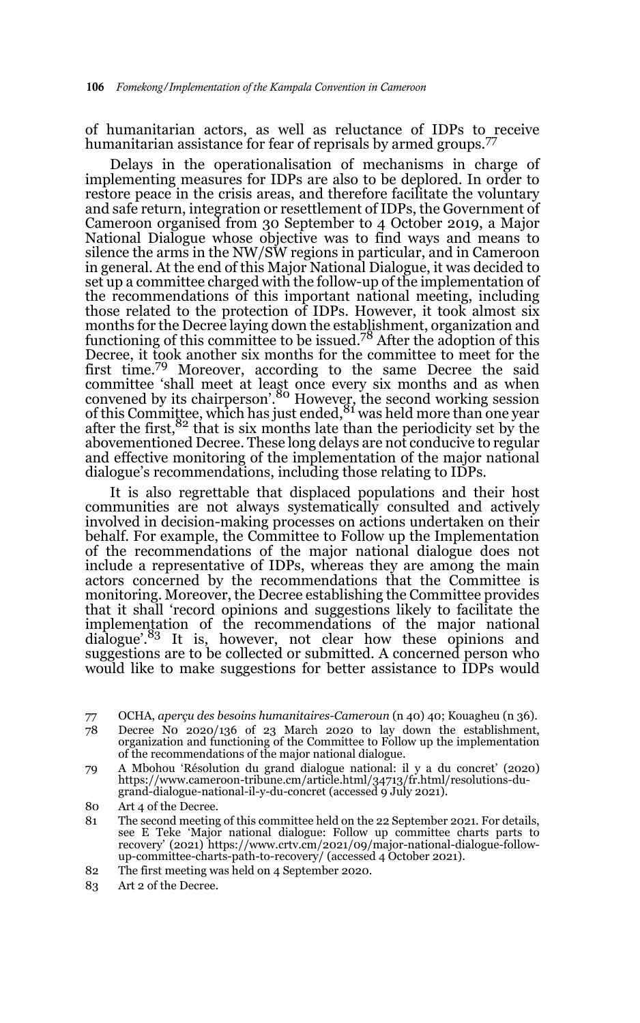of humanitarian actors, as well as reluctance of IDPs to receive humanitarian assistance for fear of reprisals by armed groups.<sup>77</sup>

Delays in the operationalisation of mechanisms in charge of implementing measures for IDPs are also to be deplored. In order to restore peace in the crisis areas, and therefore facilitate the voluntary and safe return, integration or resettlement of IDPs, the Government of Cameroon organised from 30 September to 4 October 2019, a Major National Dialogue whose objective was to find ways and means to silence the arms in the NW/SW regions in particular, and in Cameroon in general. At the end of this Major National Dialogue, it was decided to set up a committee charged with the follow-up of the implementation of the recommendations of this important national meeting, including those related to the protection of IDPs. However, it took almost six months for the Decree laying down the establishment, organization and<br>functioning of this committee to be issued.<sup>78</sup> After the adoption of this Decree, it took another six months for the committee to meet for the first time.79 Moreover, according to the same Decree the said committee 'shall meet at least once every six months and as when convened by its chairperson<sup>'.80</sup> However, the second working session of this Committee, which has just ended,  $81$  was held more than one year after the first,<sup>82</sup> that is six months late than the periodicity set by the abovementioned Decree. These long delays are not conducive to regular and effective monitoring of the implementation of the major national dialogue's recommendations, including those relating to IDPs.

It is also regrettable that displaced populations and their host communities are not always systematically consulted and actively involved in decision-making processes on actions undertaken on their behalf. For example, the Committee to Follow up the Implementation of the recommendations of the major national dialogue does not include a representative of IDPs, whereas they are among the main actors concerned by the recommendations that the Committee is monitoring. Moreover, the Decree establishing the Committee provides that it shall 'record opinions and suggestions likely to facilitate the implementation of the recommendations of the major national dialogue<sup>'.83</sup> It is, however, not clear how these opinions and suggestions are to be collected or submitted. A concerned person who would like to make suggestions for better assistance to IDPs would

77 OCHA, *aperçu des besoins humanitaires-Cameroun* (n 40) 40; Kouagheu (n 36).

- 78 Decree N0 2020/136 of 23 March 2020 to lay down the establishment, organization and functioning of the Committee to Follow up the implementation of the recommendations of the major national dialogue.
- 79 A Mbohou 'Résolution du grand dialogue national: il y a du concret' (2020) https://www.cameroon-tribune.cm/article.html/34713/fr.html/resolutions-dugrand-dialogue-national-il-y-du-concret (accessed 9 July 2021).
- 80 Art 4 of the Decree.
- 81 The second meeting of this committee held on the 22 September 2021. For details, see E Teke 'Major national dialogue: Follow up committee charts parts to recovery' (2021) https://www.crtv.cm/2021/09/major-national-dialogue-followup-committee-charts-path-to-recovery/ (accessed 4 October 2021).
- 82 The first meeting was held on 4 September 2020.
- 83 Art 2 of the Decree.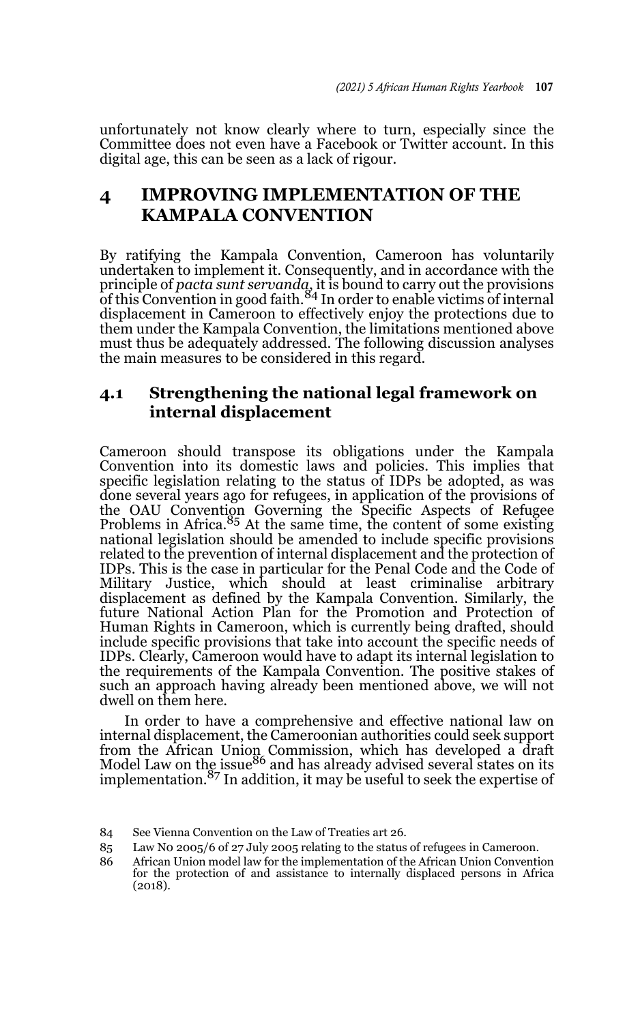unfortunately not know clearly where to turn, especially since the Committee does not even have a Facebook or Twitter account. In this digital age, this can be seen as a lack of rigour.

# **4 IMPROVING IMPLEMENTATION OF THE KAMPALA CONVENTION**

By ratifying the Kampala Convention, Cameroon has voluntarily undertaken to implement it. Consequently, and in accordance with the principle of *pacta sunt servanda*, it is bound to carry out the provisions<br>of this Convention in good faith.<sup>84</sup> In order to enable victims of internal displacement in Cameroon to effectively enjoy the protections due to them under the Kampala Convention, the limitations mentioned above must thus be adequately addressed. The following discussion analyses the main measures to be considered in this regard.

#### **4.1 Strengthening the national legal framework on internal displacement**

Cameroon should transpose its obligations under the Kampala Convention into its domestic laws and policies. This implies that specific legislation relating to the status of IDPs be adopted, as was done several years ago for refugees, in application of the provisions of the OAU Convention Governing the Specific Aspects of Refugee Problems in Africa.<sup>85</sup> At the same time, the content of some existing national legislation should be amended to include specific provisions related to the prevention of internal displacement and the protection of IDPs. This is the case in particular for the Penal Code and the Code of Military Justice, which should at least criminalise arbitrary displacement as defined by the Kampala Convention. Similarly, the future National Action Plan for the Promotion and Protection of Human Rights in Cameroon, which is currently being drafted, should include specific provisions that take into account the specific needs of IDPs. Clearly, Cameroon would have to adapt its internal legislation to the requirements of the Kampala Convention. The positive stakes of such an approach having already been mentioned above, we will not dwell on them here.

In order to have a comprehensive and effective national law on internal displacement, the Cameroonian authorities could seek support from the African Union Commission, which has developed a draft<br>Model Law on the issue<sup>86</sup> and has already advised several states on its implementation. $87$  In addition, it may be useful to seek the expertise of

<sup>84</sup> See Vienna Convention on the Law of Treaties art 26.

<sup>85</sup> Law N0 2005/6 of 27 July 2005 relating to the status of refugees in Cameroon.

<sup>86</sup> African Union model law for the implementation of the African Union Convention for the protection of and assistance to internally displaced persons in Africa (2018).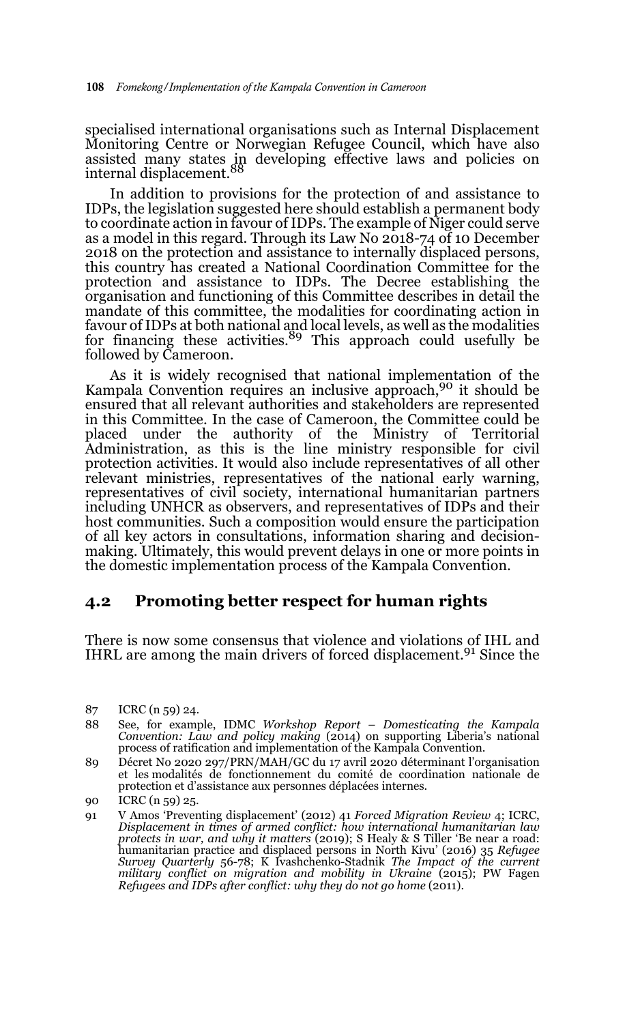specialised international organisations such as Internal Displacement Monitoring Centre or Norwegian Refugee Council, which have also assisted many states in developing effective laws and policies on<br>internal displacement.<sup>88</sup>

In addition to provisions for the protection of and assistance to IDPs, the legislation suggested here should establish a permanent body to coordinate action in favour of IDPs. The example of Niger could serve as a model in this regard. Through its Law No  $2018-74$  of 10 December 2018 on the protection and assistance to internally displaced persons, this country has created a National Coordination Committee for the protection and assistance to IDPs. The Decree establishing the organisation and functioning of this Committee describes in detail the mandate of this committee, the modalities for coordinating action in favour of IDPs at both national and local levels, as well as the modalities<br>for financing these activities.<sup>89</sup> This approach could usefully be followed by Cameroon.

As it is widely recognised that national implementation of the Kampala Convention requires an inclusive approach,<sup>90</sup> it should be ensured that all relevant authorities and stakeholders are represented in this Committee. In the case of Cameroon, the Committee could be placed under the authority of the Ministry of Territorial Administration, as this is the line ministry responsible for civil protection activities. It would also include representatives of all other relevant ministries, representatives of the national early warning, representatives of civil society, international humanitarian partners including UNHCR as observers, and representatives of IDPs and their host communities. Such a composition would ensure the participation of all key actors in consultations, information sharing and decisionmaking. Ultimately, this would prevent delays in one or more points in the domestic implementation process of the Kampala Convention.

#### **4.2 Promoting better respect for human rights**

There is now some consensus that violence and violations of IHL and IHRL are among the main drivers of forced displacement.<sup>91</sup> Since the

- 88 See, for example, IDMC *Workshop Report Domesticating the Kampala Convention: Law and policy making* (2014) on supporting Liberia's national process of ratification and implementation of the Kampala Convention.
- 89 Décret No 2020 297/PRN/MAH/GC du 17 avril 2020 déterminant l'organisation et les modalités de fonctionnement du comité de coordination nationale de protection et d'assistance aux personnes déplacées internes.

<sup>87</sup> ICRC (n 59) 24.

<sup>90</sup> ICRC (n 59) 25.

<sup>91</sup> V Amos 'Preventing displacement' (2012) 41 *Forced Migration Review* 4; ICRC, *Displacement in times of armed conflict: how international humanitarian law protects in war, and why it matters* (2019); S Healy & S Tiller 'Be near a road: humanitarian practice and displaced persons in North Kivu' (2016) 35 *Refugee Survey Quarterly* 56-78; K Ivashchenko-Stadnik *The Impact of the current military conflict on migration and mobility in Ukraine* (2015); PW Fagen *Refugees and IDPs after conflict: why they do not go home* (2011).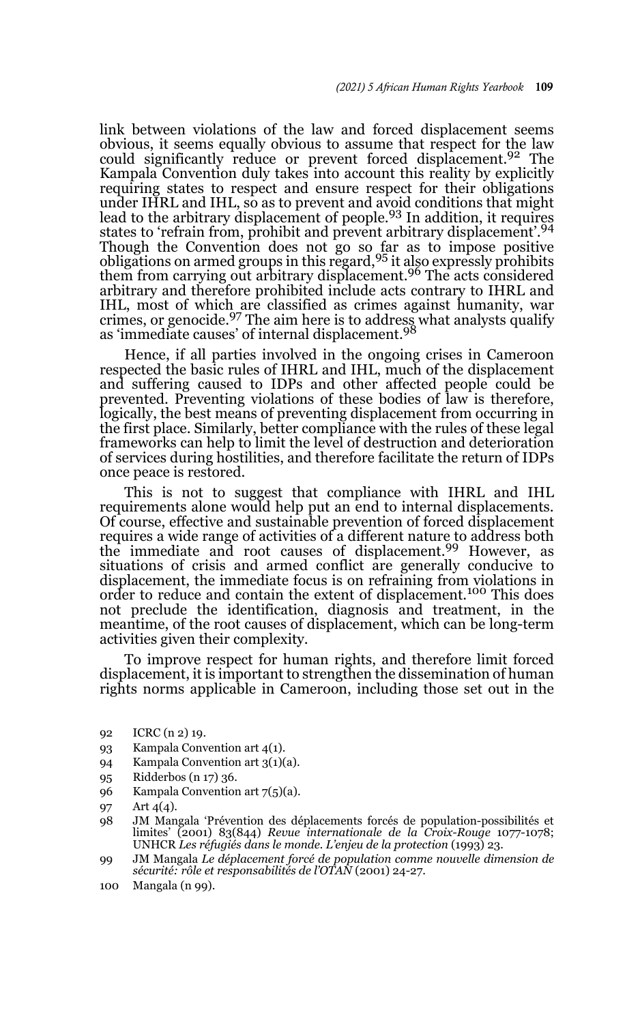link between violations of the law and forced displacement seems obvious, it seems equally obvious to assume that respect for the law could significantly reduce or prevent forced displacement.<sup>92</sup> The Kampala Convention duly takes into account this reality by explicitly requiring states to respect and ensure respect for their obligations under IHRL and IHL, so as to prevent and avoid conditions that might lead to the arbitrary displacement of people.<sup>93</sup> In addition, it requires states to 'refrain from, prohibit and prevent arbitrary displacement'.<sup>94</sup> Though the Convention does not go so far as to impose positive obligations on armed groups in this regard,95 it also expressly prohibits them from carrying out arbitrary displacement.<sup>96</sup> The acts considered arbitrary and therefore prohibited include acts contrary to IHRL and IHL, most of which are classified as crimes against humanity, war<br>crimes, or genocide.<sup>97</sup> The aim here is to address what analysts qualify as 'immediate causes' of internal displacement.<sup>98</sup>

Hence, if all parties involved in the ongoing crises in Cameroon respected the basic rules of IHRL and IHL, much of the displacement and suffering caused to IDPs and other affected people could be prevented. Preventing violations of these bodies of law is therefore, logically, the best means of preventing displacement from occurring in the first place. Similarly, better compliance with the rules of these legal frameworks can help to limit the level of destruction and deterioration of services during hostilities, and therefore facilitate the return of IDPs once peace is restored.

This is not to suggest that compliance with IHRL and IHL requirements alone would help put an end to internal displacements. Of course, effective and sustainable prevention of forced displacement requires a wide range of activities of a different nature to address both the immediate and root causes of displacement.<sup>99</sup> However, as situations of crisis and armed conflict are generally conducive to displacement, the immediate focus is on refraining from violations in order to reduce and contain the extent of displacement.100 This does not preclude the identification, diagnosis and treatment, in the meantime, of the root causes of displacement, which can be long-term activities given their complexity.

To improve respect for human rights, and therefore limit forced displacement, it is important to strengthen the dissemination of human rights norms applicable in Cameroon, including those set out in the

- 92 ICRC (n 2) 19.
- 93 Kampala Convention art 4(1).
- 94 Kampala Convention art 3(1)(a).
- 95 Ridderbos (n 17) 36.
- 96 Kampala Convention art 7(5)(a).
- 97 Art 4(4).
- 98 JM Mangala 'Prévention des déplacements forcés de population-possibilités et limites' (2001) 83(844) *Revue internationale de la Croix-Rouge* 1077-1078; UNHCR *Les réfugiés dans le monde. L'enjeu de la protection* (1993) 23.
- 99 JM Mangala *Le déplacement forcé de population comme nouvelle dimension de sécurité: rôle et responsabilités de l'OTAN* (2001) 24-27.
- 100 Mangala (n 99).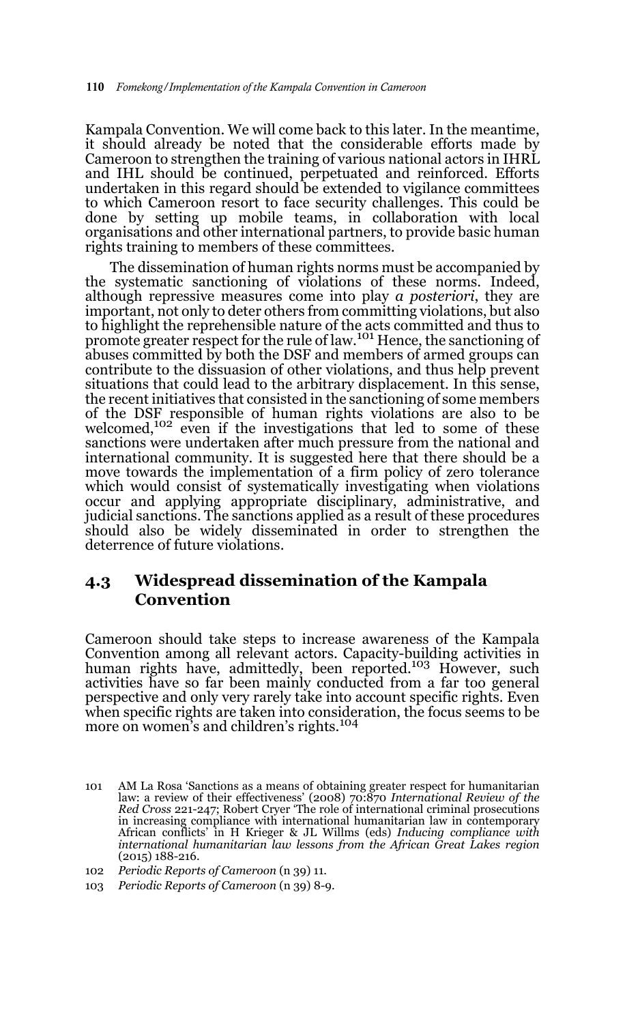Kampala Convention. We will come back to this later. In the meantime, it should already be noted that the considerable efforts made by Cameroon to strengthen the training of various national actors in IHRL and IHL should be continued, perpetuated and reinforced. Efforts undertaken in this regard should be extended to vigilance committees to which Cameroon resort to face security challenges. This could be done by setting up mobile teams, in collaboration with local organisations and other international partners, to provide basic human rights training to members of these committees.

The dissemination of human rights norms must be accompanied by the systematic sanctioning of violations of these norms. Indeed, although repressive measures come into play *a posteriori*, they are important, not only to deter others from committing violations, but also to highlight the reprehensible nature of the acts committed and thus to<br>promote greater respect for the rule of law.<sup>101</sup> Hence, the sanctioning of abuses committed by both the DSF and members of armed groups can contribute to the dissuasion of other violations, and thus help prevent situations that could lead to the arbitrary displacement. In this sense, the recent initiatives that consisted in the sanctioning of some members of the DSF responsible of human rights violations are also to be welcomed,102 even if the investigations that led to some of these sanctions were undertaken after much pressure from the national and international community. It is suggested here that there should be a move towards the implementation of a firm policy of zero tolerance which would consist of systematically investigating when violations occur and applying appropriate disciplinary, administrative, and judicial sanctions. The sanctions applied as a result of these procedures should also be widely disseminated in order to strengthen the deterrence of future violations.

#### **4.3 Widespread dissemination of the Kampala Convention**

Cameroon should take steps to increase awareness of the Kampala Convention among all relevant actors. Capacity-building activities in<br>human rights have, admittedly, been reported.<sup>103</sup> However, such activities have so far been mainly conducted from a far too general perspective and only very rarely take into account specific rights. Even when specific rights are taken into consideration, the focus seems to be more on women's and children's rights.<sup>104</sup>

<sup>101</sup> AM La Rosa 'Sanctions as a means of obtaining greater respect for humanitarian law: a review of their effectiveness' (2008) 70:870 *International Review of the Red Cross* 221-247; Robert Cryer 'The role of international criminal prosecutions in increasing compliance with international humanitarian law in contemporary African conflicts' in H Krieger & JL Willms (eds) *Inducing compliance with international humanitarian law lessons from the African Great Lakes region* (2015) 188-216.

<sup>102</sup> *Periodic Reports of Cameroon* (n 39) 11.

<sup>103</sup> *Periodic Reports of Cameroon* (n 39) 8-9.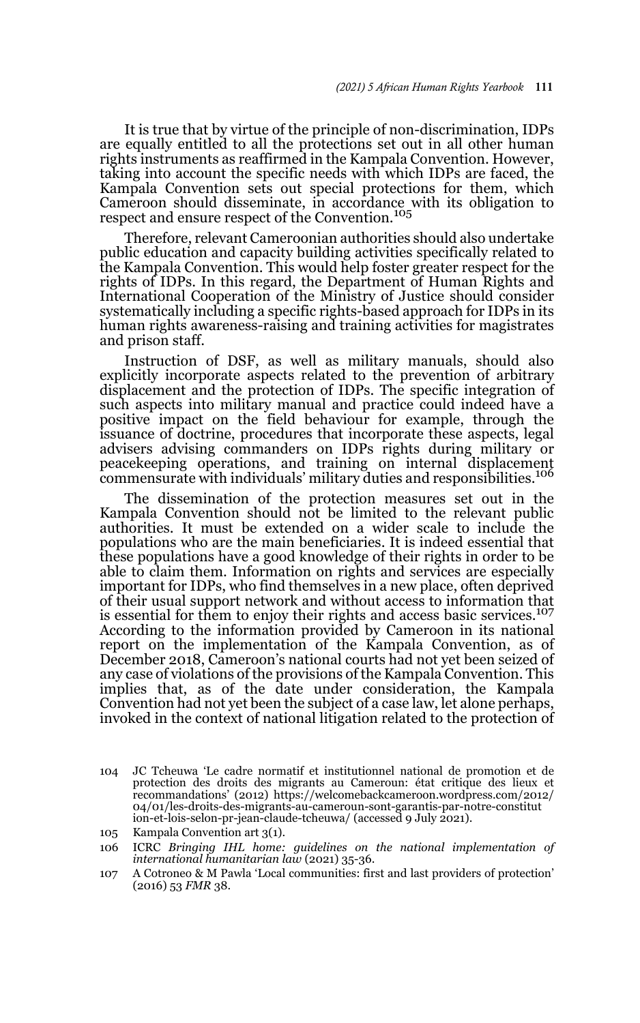It is true that by virtue of the principle of non-discrimination, IDPs are equally entitled to all the protections set out in all other human rights instruments as reaffirmed in the Kampala Convention. However, taking into account the specific needs with which IDPs are faced, the Kampala Convention sets out special protections for them, which Cameroon should disseminate, in accordance with its obligation to respect and ensure respect of the Convention.<sup>105</sup>

Therefore, relevant Cameroonian authorities should also undertake public education and capacity building activities specifically related to the Kampala Convention. This would help foster greater respect for the rights of IDPs. In this regard, the Department of Human Rights and International Cooperation of the Ministry of Justice should consider systematically including a specific rights-based approach for IDPs in its human rights awareness-raising and training activities for magistrates and prison staff.

Instruction of DSF, as well as military manuals, should also explicitly incorporate aspects related to the prevention of arbitrary displacement and the protection of IDPs. The specific integration of such aspects into military manual and practice could indeed have a positive impact on the field behaviour for example, through the issuance of doctrine, procedures that incorporate these aspects, legal advisers advising commanders on IDPs rights during military or peacekeeping operations, and training on internal displacement commensurate with individuals' military duties and responsibilities.106

The dissemination of the protection measures set out in the Kampala Convention should not be limited to the relevant public authorities. It must be extended on a wider scale to include the populations who are the main beneficiaries. It is indeed essential that these populations have a good knowledge of their rights in order to be able to claim them. Information on rights and services are especially important for IDPs, who find themselves in a new place, often deprived of their usual support network and without access to information that is essential for them to enjoy their rights and access basic services.<sup>107</sup> According to the information provided by Cameroon in its national report on the implementation of the Kampala Convention, as of December 2018, Cameroon's national courts had not yet been seized of any case of violations of the provisions of the Kampala Convention. This implies that, as of the date under consideration, the Kampala Convention had not yet been the subject of a case law, let alone perhaps, invoked in the context of national litigation related to the protection of

<sup>104</sup> JC Tcheuwa 'Le cadre normatif et institutionnel national de promotion et de protection des droits des migrants au Cameroun: état critique des lieux et recommandations' (2012) https://welcomebackcameroon.wordpress.com/2012/ 04/01/les-droits-des-migrants-au-cameroun-sont-garantis-par-notre-constitut ion-et-lois-selon-pr-jean-claude-tcheuwa/ (accessed 9 July 2021).

<sup>105</sup> Kampala Convention art 3(1).

<sup>106</sup> ICRC *Bringing IHL home: guidelines on the national implementation of international humanitarian law* (2021) 35-36.

<sup>107</sup> A Cotroneo & M Pawla 'Local communities: first and last providers of protection' (2016) 53 *FMR* 38.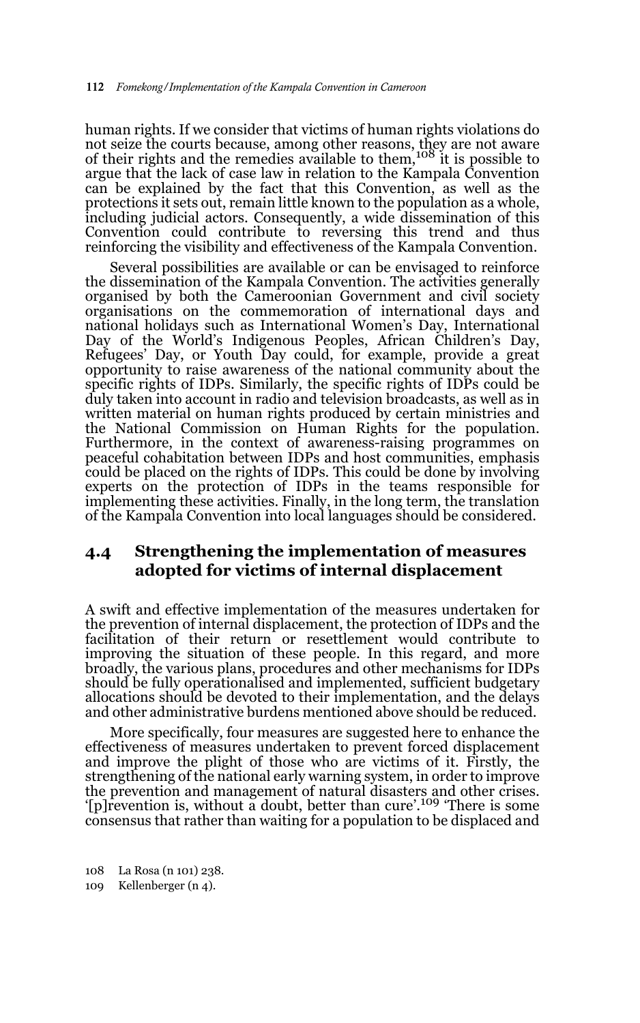human rights. If we consider that victims of human rights violations do not seize the courts because, among other reasons, they are not aware of their rights and the remedies available to them,108 it is possible to argue that the lack of case law in relation to the Kampala Convention can be explained by the fact that this Convention, as well as the protections it sets out, remain little known to the population as a whole, including judicial actors. Consequently, a wide dissemination of this Convention could contribute to reversing this trend and thus reinforcing the visibility and effectiveness of the Kampala Convention.

Several possibilities are available or can be envisaged to reinforce the dissemination of the Kampala Convention. The activities generally organised by both the Cameroonian Government and civil society organisations on the commemoration of international days and national holidays such as International Women's Day, International Day of the World's Indigenous Peoples, African Children's Day, Refugees' Day, or Youth Day could, for example, provide a great opportunity to raise awareness of the national community about the specific rights of IDPs. Similarly, the specific rights of IDPs could be duly taken into account in radio and television broadcasts, as well as in written material on human rights produced by certain ministries and the National Commission on Human Rights for the population. Furthermore, in the context of awareness-raising programmes on peaceful cohabitation between IDPs and host communities, emphasis could be placed on the rights of IDPs. This could be done by involving experts on the protection of IDPs in the teams responsible for implementing these activities. Finally, in the long term, the translation of the Kampala Convention into local languages should be considered.

#### **4.4 Strengthening the implementation of measures adopted for victims of internal displacement**

A swift and effective implementation of the measures undertaken for the prevention of internal displacement, the protection of IDPs and the facilitation of their return or resettlement would contribute to improving the situation of these people. In this regard, and more broadly, the various plans, procedures and other mechanisms for IDPs should be fully operationalised and implemented, sufficient budgetary allocations should be devoted to their implementation, and the delays and other administrative burdens mentioned above should be reduced.

More specifically, four measures are suggested here to enhance the effectiveness of measures undertaken to prevent forced displacement and improve the plight of those who are victims of it. Firstly, the strengthening of the national early warning system, in order to improve the prevention and management of natural disasters and other crises. '[p]revention is, without a doubt, better than cure'.109 'There is some consensus that rather than waiting for a population to be displaced and

<sup>108</sup> La Rosa (n 101) 238.

<sup>109</sup> Kellenberger (n 4).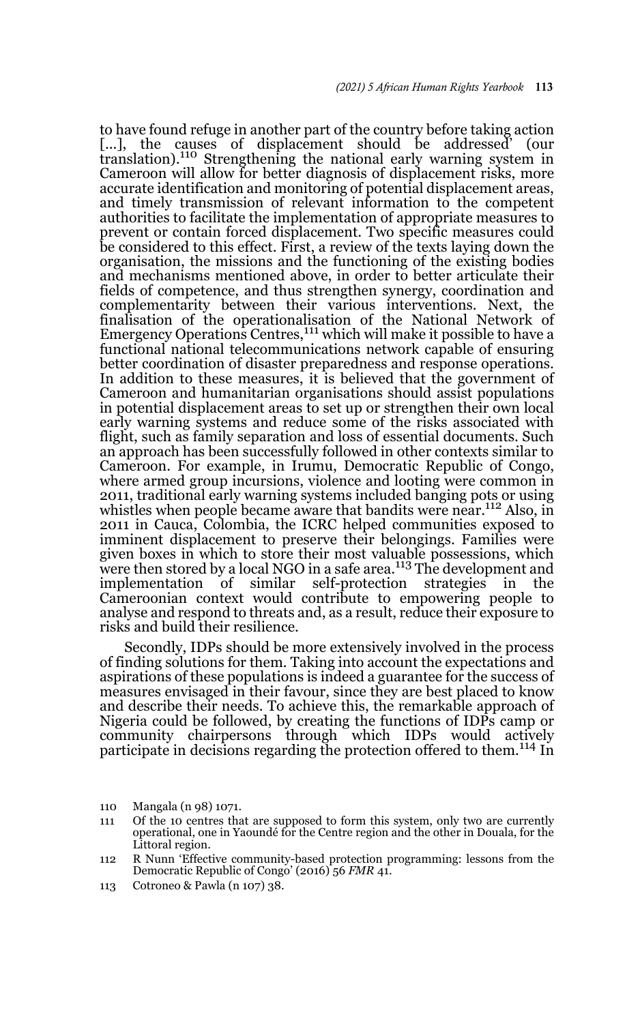to have found refuge in another part of the country before taking action [...], the causes of displacement should be addressed' (our translation).110 Strengthening the national early warning system in Cameroon will allow for better diagnosis of displacement risks, more accurate identification and monitoring of potential displacement areas, and timely transmission of relevant information to the competent authorities to facilitate the implementation of appropriate measures to prevent or contain forced displacement. Two specific measures could be considered to this effect. First, a review of the texts laying down the organisation, the missions and the functioning of the existing bodies and mechanisms mentioned above, in order to better articulate their fields of competence, and thus strengthen synergy, coordination and complementarity between their various interventions. Next, the finalisation of the operationalisation of the National Network of Emergency Operations Centres,<sup>111</sup> which will make it possible to have a functional national telecommunications network capable of ensuring better coordination of disaster preparedness and response operations. In addition to these measures, it is believed that the government of Cameroon and humanitarian organisations should assist populations in potential displacement areas to set up or strengthen their own local early warning systems and reduce some of the risks associated with flight, such as family separation and loss of essential documents. Such an approach has been successfully followed in other contexts similar to Cameroon. For example, in Irumu, Democratic Republic of Congo, where armed group incursions, violence and looting were common in 2011, traditional early warning systems included banging pots or using whistles when people became aware that bandits were near.<sup>112</sup> Also, in 2011 in Cauca, Colombia, the ICRC helped communities exposed to imminent displacement to preserve their belongings. Families were given boxes in which to store their most valuable possessions, which were then stored by a local NGO in a safe area.<sup>113</sup> The development and implementation of similar self-protection strategies in the Cameroonian context would contribute to empowering people to analyse and respond to threats and, as a result, reduce their exposure to risks and build their resilience.

Secondly, IDPs should be more extensively involved in the process of finding solutions for them. Taking into account the expectations and aspirations of these populations is indeed a guarantee for the success of measures envisaged in their favour, since they are best placed to know and describe their needs. To achieve this, the remarkable approach of Nigeria could be followed, by creating the functions of IDPs camp or community chairpersons through which IDPs would actively participate in decisions regarding the protection offered to them.<sup>114</sup> In

- 110 Mangala (n 98) 1071.
- 111 Of the 10 centres that are supposed to form this system, only two are currently operational, one in Yaoundé for the Centre region and the other in Douala, for the Littoral region.
- 112 R Nunn 'Effective community-based protection programming: lessons from the Democratic Republic of Congo' (2016) 56 *FMR* 41.
- 113 Cotroneo & Pawla (n 107) 38.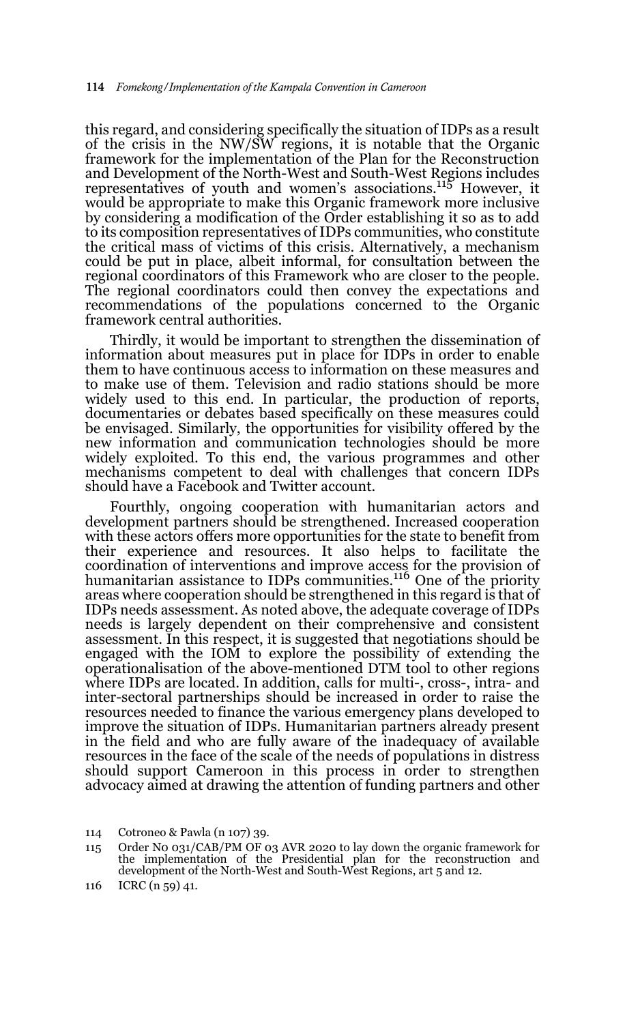this regard, and considering specifically the situation of IDPs as a result of the crisis in the NW/SW regions, it is notable that the Organic framework for the implementation of the Plan for the Reconstruction and Development of the North-West and South-West Regions includes representatives of youth and women's associations.115 However, it would be appropriate to make this Organic framework more inclusive by considering a modification of the Order establishing it so as to add to its composition representatives of IDPs communities, who constitute the critical mass of victims of this crisis. Alternatively, a mechanism could be put in place, albeit informal, for consultation between the regional coordinators of this Framework who are closer to the people. The regional coordinators could then convey the expectations and recommendations of the populations concerned to the Organic framework central authorities.

Thirdly, it would be important to strengthen the dissemination of information about measures put in place for IDPs in order to enable them to have continuous access to information on these measures and to make use of them. Television and radio stations should be more widely used to this end. In particular, the production of reports, documentaries or debates based specifically on these measures could be envisaged. Similarly, the opportunities for visibility offered by the new information and communication technologies should be more widely exploited. To this end, the various programmes and other mechanisms competent to deal with challenges that concern IDPs should have a Facebook and Twitter account.

Fourthly, ongoing cooperation with humanitarian actors and development partners should be strengthened. Increased cooperation with these actors offers more opportunities for the state to benefit from their experience and resources. It also helps to facilitate the coordination of interventions and improve access for the provision of humanitarian assistance to IDPs communities.116 One of the priority areas where cooperation should be strengthened in this regard is that of IDPs needs assessment. As noted above, the adequate coverage of IDPs needs is largely dependent on their comprehensive and consistent assessment. In this respect, it is suggested that negotiations should be engaged with the IOM to explore the possibility of extending the operationalisation of the above-mentioned DTM tool to other regions where IDPs are located. In addition, calls for multi-, cross-, intra- and inter-sectoral partnerships should be increased in order to raise the resources needed to finance the various emergency plans developed to improve the situation of IDPs. Humanitarian partners already present in the field and who are fully aware of the inadequacy of available resources in the face of the scale of the needs of populations in distress should support Cameroon in this process in order to strengthen advocacy aimed at drawing the attention of funding partners and other

<sup>114</sup> Cotroneo & Pawla (n 107) 39.

<sup>115</sup> Order N0 031/CAB/PM OF 03 AVR 2020 to lay down the organic framework for the implementation of the Presidential plan for the reconstruction and development of the North-West and South-West Regions, art 5 and 12.

<sup>116</sup> ICRC (n 59) 41.